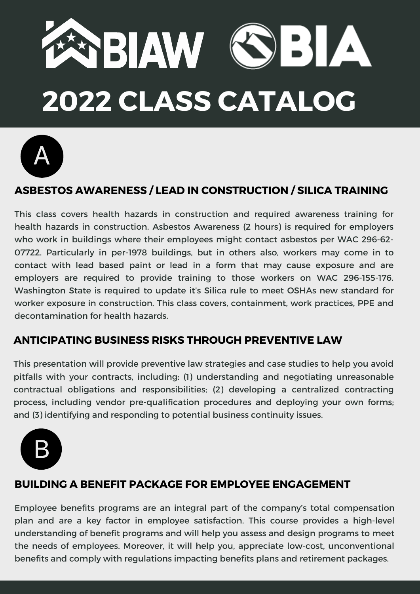



#### **ASBESTOS AWARENESS / LEAD IN CONSTRUCTION / SILICA TRAINING**

This class covers health hazards in construction and required awareness training for health hazards in construction. Asbestos Awareness (2 hours) is required for employers who work in buildings where their employees might contact asbestos per WAC 296-62- 07722. Particularly in per-1978 buildings, but in others also, workers may come in to contact with lead based paint or lead in a form that may cause exposure and are employers are required to provide training to those workers on WAC 296-155-176. Washington State is required to update it's Silica rule to meet OSHAs new standard for worker exposure in construction. This class covers, containment, work practices, PPE and decontamination for health hazards.

#### **ANTICIPATING BUSINESS RISKS THROUGH PREVENTIVE LAW**

This presentation will provide preventive law strategies and case studies to help you avoid pitfalls with your contracts, including: (1) understanding and negotiating unreasonable contractual obligations and responsibilities; (2) developing a centralized contracting process, including vendor pre-qualification procedures and deploying your own forms; and (3) identifying and responding to potential business continuity issues.



#### **BUILDING A BENEFIT PACKAGE FOR EMPLOYEE ENGAGEMENT**

Employee benefits programs are an integral part of the company's total compensation plan and are a key factor in employee satisfaction. This course provides a high-level understanding of benefit programs and will help you assess and design programs to meet the needs of employees. Moreover, it will help you, appreciate low-cost, unconventional benefits and comply with regulations impacting benefits plans and retirement packages.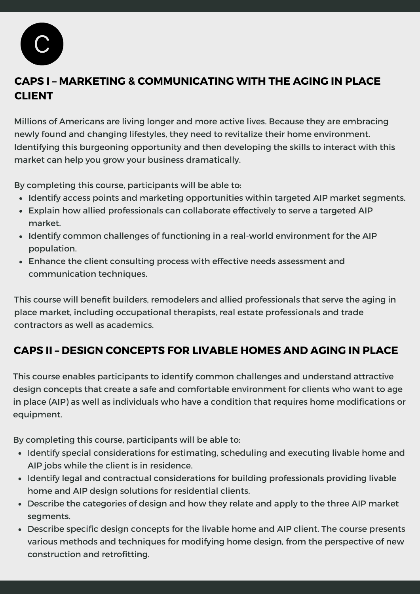

# **CAPS I – MARKETING & COMMUNICATING WITH THE AGING IN PLACE CLIENT**

Millions of Americans are living longer and more active lives. Because they are embracing newly found and changing lifestyles, they need to revitalize their home environment. Identifying this burgeoning opportunity and then developing the skills to interact with this market can help you grow your business dramatically.

By completing this course, participants will be able to:

- Identify access points and marketing opportunities within targeted AIP market segments.
- Explain how allied professionals can collaborate effectively to serve a targeted AIP market.
- Identify common challenges of functioning in a real-world environment for the AIP population.
- Enhance the client consulting process with effective needs assessment and communication techniques.

This course will benefit builders, remodelers and allied professionals that serve the aging in place market, including occupational therapists, real estate professionals and trade contractors as well as academics.

## **CAPS II – DESIGN CONCEPTS FOR LIVABLE HOMES AND AGING IN PLACE**

This course enables participants to identify common challenges and understand attractive design concepts that create a safe and comfortable environment for clients who want to age in place (AIP) as well as individuals who have a condition that requires home modifications or equipment.

By completing this course, participants will be able to:

- Identify special considerations for estimating, scheduling and executing livable home and AIP jobs while the client is in residence.
- Identify legal and contractual considerations for building professionals providing livable home and AIP design solutions for residential clients.
- Describe the categories of design and how they relate and apply to the three AIP market segments.
- Describe specific design concepts for the livable home and AIP client. The course presents various methods and techniques for modifying home design, from the perspective of new construction and retrofitting.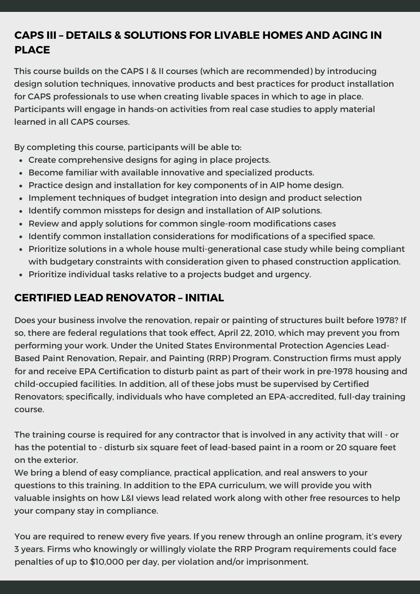# **CAPS III – DETAILS & SOLUTIONS FOR LIVABLE HOMES AND AGING IN PLACE**

This course builds on the CAPS I & II courses (which are recommended) by introducing design solution techniques, innovative products and best practices for product installation for CAPS professionals to use when creating livable spaces in which to age in place. Participants will engage in hands-on activities from real case studies to apply material learned in all CAPS courses.

By completing this course, participants will be able to:

- Create comprehensive designs for aging in place projects.
- Become familiar with available innovative and specialized products.
- Practice design and installation for key components of in AIP home design.
- Implement techniques of budget integration into design and product selection
- Identify common missteps for design and installation of AIP solutions.
- Review and apply solutions for common single-room modifications cases
- Identify common installation considerations for modifications of a specified space.
- Prioritize solutions in a whole house multi-generational case study while being compliant with budgetary constraints with consideration given to phased construction application.
- Prioritize individual tasks relative to a projects budget and urgency.

#### **CERTIFIED LEAD RENOVATOR – INITIAL**

Does your business involve the renovation, repair or painting of structures built before 1978? If so, there are federal regulations that took effect, April 22, 2010, which may prevent you from performing your work. Under the United States Environmental Protection Agencies Lead-Based Paint Renovation, Repair, and Painting (RRP) Program. Construction firms must apply for and receive EPA Certification to disturb paint as part of their work in pre-1978 housing and child-occupied facilities. In addition, all of these jobs must be supervised by Certified Renovators; specifically, individuals who have completed an EPA-accredited, full-day training course.

The training course is required for any contractor that is involved in any activity that will - or has the potential to - disturb six square feet of lead-based paint in a room or 20 square feet on the exterior.

We bring a blend of easy compliance, practical application, and real answers to your questions to this training. In addition to the EPA curriculum, we will provide you with valuable insights on how L&I views lead related work along with other free resources to help your company stay in compliance.

You are required to renew every five years. If you renew through an online program, it's every 3 years. Firms who knowingly or willingly violate the RRP Program requirements could face penalties of up to \$10,000 per day, per violation and/or imprisonment.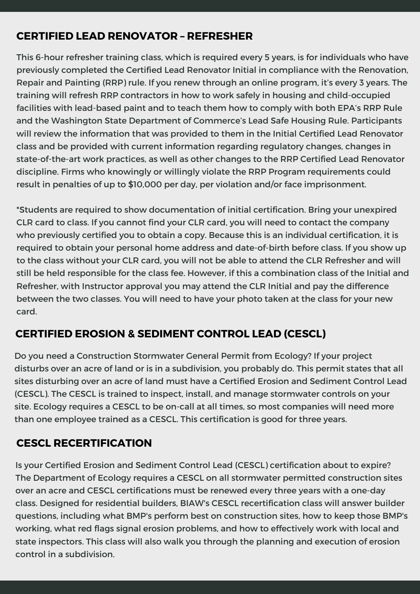#### **CERTIFIED LEAD RENOVATOR – REFRESHER**

This 6-hour refresher training class, which is required every 5 years, is for individuals who have previously completed the Certified Lead Renovator Initial in compliance with the Renovation, Repair and Painting (RRP) rule. If you renew through an online program, it's every 3 years. The training will refresh RRP contractors in how to work safely in housing and child-occupied facilities with lead-based paint and to teach them how to comply with both EPA's RRP Rule and the Washington State Department of Commerce's Lead Safe Housing Rule. Participants will review the information that was provided to them in the Initial Certified Lead Renovator class and be provided with current information regarding regulatory changes, changes in state-of-the-art work practices, as well as other changes to the RRP Certified Lead Renovator discipline. Firms who knowingly or willingly violate the RRP Program requirements could result in penalties of up to \$10,000 per day, per violation and/or face imprisonment.

\*Students are required to show documentation of initial certification. Bring your unexpired CLR card to class. If you cannot find your CLR card, you will need to contact the company who previously certified you to obtain a copy. Because this is an individual certification, it is required to obtain your personal home address and date-of-birth before class. If you show up to the class without your CLR card, you will not be able to attend the CLR Refresher and will still be held responsible for the class fee. However, if this a combination class of the Initial and Refresher, with Instructor approval you may attend the CLR Initial and pay the difference between the two classes. You will need to have your photo taken at the class for your new card.

#### **CERTIFIED EROSION & SEDIMENT CONTROL LEAD (CESCL)**

Do you need a Construction Stormwater General Permit from Ecology? If your project disturbs over an acre of land or is in a subdivision, you probably do. This permit states that all sites disturbing over an acre of land must have a Certified Erosion and Sediment Control Lead (CESCL). The CESCL is trained to inspect, install, and manage stormwater controls on your site. Ecology requires a CESCL to be on-call at all times, so most companies will need more than one employee trained as a CESCL. This certification is good for three years.

#### **CESCL RECERTIFICATION**

Is your Certified Erosion and Sediment Control Lead (CESCL) certification about to expire? The Department of Ecology requires a CESCL on all stormwater permitted construction sites over an acre and CESCL certifications must be renewed every three years with a one-day class. Designed for residential builders, BIAW's CESCL recertification class will answer builder questions, including what BMP's perform best on construction sites, how to keep those BMP's working, what red flags signal erosion problems, and how to effectively work with local and state inspectors. This class will also walk you through the planning and execution of erosion control in a subdivision.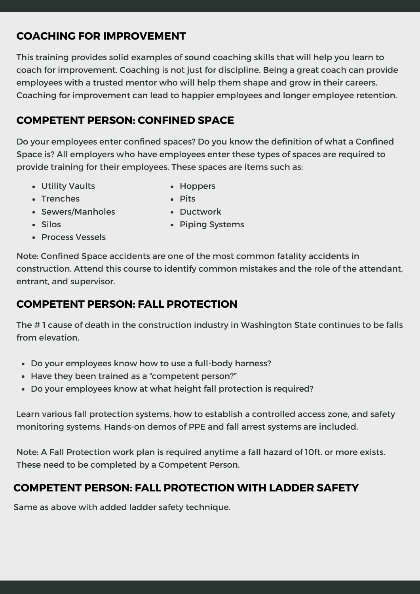# **COACHING FOR IMPROVEMENT**

This training provides solid examples of sound coaching skills that will help you learn to coach for improvement. Coaching is not just for discipline. Being a great coach can provide employees with a trusted mentor who will help them shape and grow in their careers. Coaching for improvement can lead to happier employees and longer employee retention.

#### **COMPETENT PERSON: CONFINED SPACE**

Do your employees enter confined spaces? Do you know the definition of what a Confined Space is? All employers who have employees enter these types of spaces are required to provide training for their employees. These spaces are items such as:

Utility Vaults

• Hoppers

• Trenches

- Pits
- Sewers/Manholes
- Ductwork

- Silos
- Process Vessels

• Piping Systems

Note: Confined Space accidents are one of the most common fatality accidents in construction. Attend this course to identify common mistakes and the role of the attendant, entrant, and supervisor.

#### **COMPETENT PERSON: FALL PROTECTION**

The # 1 cause of death in the construction industry in Washington State continues to be falls from elevation.

- Do your employees know how to use a full-body harness?
- Have they been trained as a "competent person?"
- Do your employees know at what height fall protection is required?

Learn various fall protection systems, how to establish a controlled access zone, and safety monitoring systems. Hands-on demos of PPE and fall arrest systems are included.

Note: A Fall Protection work plan is required anytime a fall hazard of 10ft. or more exists. These need to be completed by a Competent Person.

#### **COMPETENT PERSON: FALL PROTECTION WITH LADDER SAFETY**

Same as above with added ladder safety technique.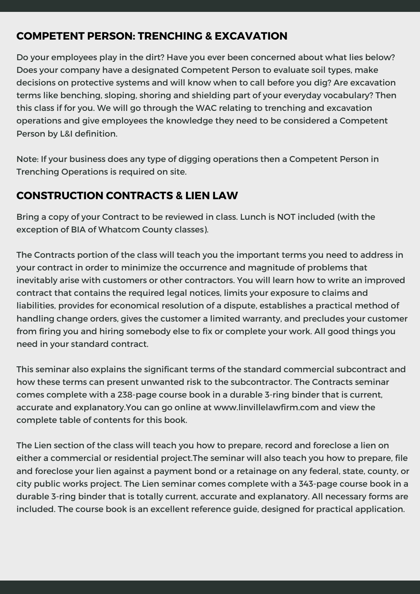#### **COMPETENT PERSON: TRENCHING & EXCAVATION**

Do your employees play in the dirt? Have you ever been concerned about what lies below? Does your company have a designated Competent Person to evaluate soil types, make decisions on protective systems and will know when to call before you dig? Are excavation terms like benching, sloping, shoring and shielding part of your everyday vocabulary? Then this class if for you. We will go through the WAC relating to trenching and excavation operations and give employees the knowledge they need to be considered a Competent Person by L&I definition.

Note: If your business does any type of digging operations then a Competent Person in Trenching Operations is required on site.

## **CONSTRUCTION CONTRACTS & LIEN LAW**

Bring a copy of your Contract to be reviewed in class. Lunch is NOT included (with the exception of BIA of Whatcom County classes).

The Contracts portion of the class will teach you the important terms you need to address in your contract in order to minimize the occurrence and magnitude of problems that inevitably arise with customers or other contractors. You will learn how to write an improved contract that contains the required legal notices, limits your exposure to claims and liabilities, provides for economical resolution of a dispute, establishes a practical method of handling change orders, gives the customer a limited warranty, and precludes your customer from firing you and hiring somebody else to fix or complete your work. All good things you need in your standard contract.

This seminar also explains the significant terms of the standard commercial subcontract and how these terms can present unwanted risk to the subcontractor. The Contracts seminar comes complete with a 238-page course book in a durable 3-ring binder that is current, accurate and explanatory.You can go online at www.linvillelawfirm.com and view the complete table of contents for this book.

The Lien section of the class will teach you how to prepare, record and foreclose a lien on either a commercial or residential project.The seminar will also teach you how to prepare, file and foreclose your lien against a payment bond or a retainage on any federal, state, county, or city public works project. The Lien seminar comes complete with a 343-page course book in a durable 3-ring binder that is totally current, accurate and explanatory. All necessary forms are included. The course book is an excellent reference guide, designed for practical application.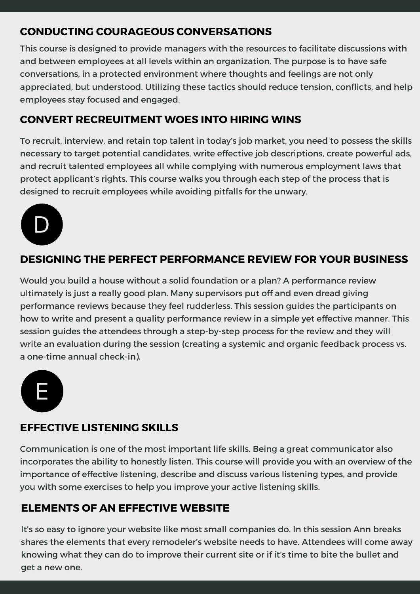#### **CONDUCTING COURAGEOUS CONVERSATIONS**

This course is designed to provide managers with the resources to facilitate discussions with and between employees at all levels within an organization. The purpose is to have safe conversations, in a protected environment where thoughts and feelings are not only appreciated, but understood. Utilizing these tactics should reduce tension, conflicts, and help employees stay focused and engaged.

#### **CONVERT RECREUITMENT WOES INTO HIRING WINS**

To recruit, interview, and retain top talent in today's job market, you need to possess the skills necessary to target potential candidates, write effective job descriptions, create powerful ads, and recruit talented employees all while complying with numerous employment laws that protect applicant's rights. This course walks you through each step of the process that is designed to recruit employees while avoiding pitfalls for the unwary.



#### **DESIGNING THE PERFECT PERFORMANCE REVIEW FOR YOUR BUSINESS**

Would you build a house without a solid foundation or a plan? A performance review ultimately is just a really good plan. Many supervisors put off and even dread giving performance reviews because they feel rudderless. This session guides the participants on how to write and present a quality performance review in a simple yet effective manner. This session guides the attendees through a step-by-step process for the review and they will write an evaluation during the session (creating a systemic and organic feedback process vs. a one-time annual check-in).



#### **EFFECTIVE LISTENING SKILLS**

Communication is one of the most important life skills. Being a great communicator also incorporates the ability to honestly listen. This course will provide you with an overview of the importance of effective listening, describe and discuss various listening types, and provide you with some exercises to help you improve your active listening skills.

#### **ELEMENTS OF AN EFFECTIVE WEBSITE**

It's so easy to ignore your website like most small companies do. In this session Ann breaks shares the elements that every remodeler's website needs to have. Attendees will come away knowing what they can do to improve their current site or if it's time to bite the bullet and get a new one.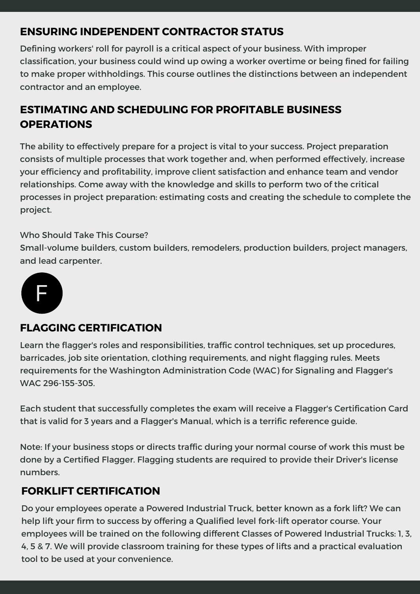## **ENSURING INDEPENDENT CONTRACTOR STATUS**

Defining workers' roll for payroll is a critical aspect of your business. With improper classification, your business could wind up owing a worker overtime or being fined for failing to make proper withholdings. This course outlines the distinctions between an independent contractor and an employee.

# **ESTIMATING AND SCHEDULING FOR PROFITABLE BUSINESS OPERATIONS**

The ability to effectively prepare for a project is vital to your success. Project preparation consists of multiple processes that work together and, when performed effectively, increase your efficiency and profitability, improve client satisfaction and enhance team and vendor relationships. Come away with the knowledge and skills to perform two of the critical processes in project preparation: estimating costs and creating the schedule to complete the project.

#### Who Should Take This Course?

Small-volume builders, custom builders, remodelers, production builders, project managers, and lead carpenter.



#### **FLAGGING CERTIFICATION**

Learn the flagger's roles and responsibilities, traffic control techniques, set up procedures, barricades, job site orientation, clothing requirements, and night flagging rules. Meets requirements for the Washington Administration Code (WAC) for Signaling and Flagger's WAC 296-155-305.

Each student that successfully completes the exam will receive a Flagger's Certification Card that is valid for 3 years and a Flagger's Manual, which is a terrific reference guide.

Note: If your business stops or directs traffic during your normal course of work this must be done by a Certified Flagger. Flagging students are required to provide their Driver's license numbers.

#### **FORKLIFT CERTIFICATION**

Do your employees operate a Powered Industrial Truck, better known as a fork lift? We can help lift your firm to success by offering a Qualified level fork-lift operator course. Your employees will be trained on the following different Classes of Powered Industrial Trucks: 1, 3, 4, 5 & 7. We will provide classroom training for these types of lifts and a practical evaluation tool to be used at your convenience.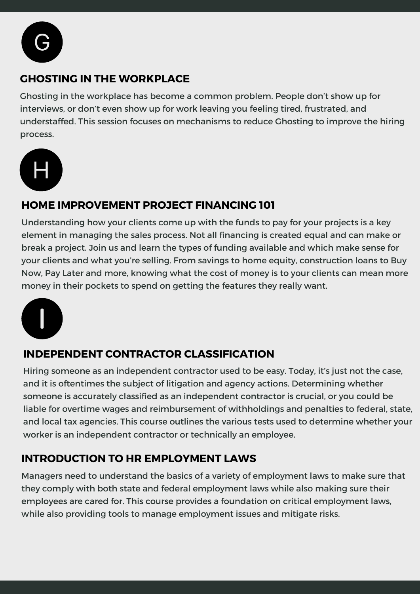

## **GHOSTING IN THE WORKPLACE**

Ghosting in the workplace has become a common problem. People don't show up for interviews, or don't even show up for work leaving you feeling tired, frustrated, and understaffed. This session focuses on mechanisms to reduce Ghosting to improve the hiring process.



#### **HOME IMPROVEMENT PROJECT FINANCING 101**

Understanding how your clients come up with the funds to pay for your projects is a key element in managing the sales process. Not all financing is created equal and can make or break a project. Join us and learn the types of funding available and which make sense for your clients and what you're selling. From savings to home equity, construction loans to Buy Now, Pay Later and more, knowing what the cost of money is to your clients can mean more money in their pockets to spend on getting the features they really want.



## **INDEPENDENT CONTRACTOR CLASSIFICATION**

Hiring someone as an independent contractor used to be easy. Today, it's just not the case, and it is oftentimes the subject of litigation and agency actions. Determining whether someone is accurately classified as an independent contractor is crucial, or you could be liable for overtime wages and reimbursement of withholdings and penalties to federal, state, and local tax agencies. This course outlines the various tests used to determine whether your worker is an independent contractor or technically an employee.

## **INTRODUCTION TO HR EMPLOYMENT LAWS**

Managers need to understand the basics of a variety of employment laws to make sure that they comply with both state and federal employment laws while also making sure their employees are cared for. This course provides a foundation on critical employment laws, while also providing tools to manage employment issues and mitigate risks.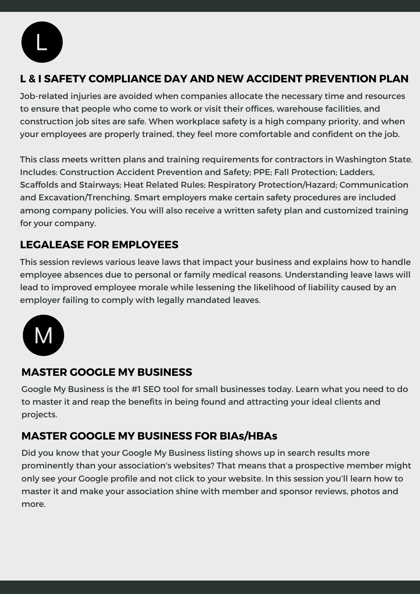

# **L & I SAFETY COMPLIANCE DAY AND NEW ACCIDENT PREVENTION PLAN**

Job-related injuries are avoided when companies allocate the necessary time and resources to ensure that people who come to work or visit their offices, warehouse facilities, and construction job sites are safe. When workplace safety is a high company priority, and when your employees are properly trained, they feel more comfortable and confident on the job.

This class meets written plans and training requirements for contractors in Washington State. Includes: Construction Accident Prevention and Safety; PPE; Fall Protection; Ladders, Scaffolds and Stairways; Heat Related Rules; Respiratory Protection/Hazard; Communication and Excavation/Trenching. Smart employers make certain safety procedures are included among company policies. You will also receive a written safety plan and customized training for your company.

# **LEGALEASE FOR EMPLOYEES**

This session reviews various leave laws that impact your business and explains how to handle employee absences due to personal or family medical reasons. Understanding leave laws will lead to improved employee morale while lessening the likelihood of liability caused by an employer failing to comply with legally mandated leaves.



#### **MASTER GOOGLE MY BUSINESS**

Google My Business is the #1 SEO tool for small businesses today. Learn what you need to do to master it and reap the benefits in being found and attracting your ideal clients and projects.

## **MASTER GOOGLE MY BUSINESS FOR BIAs/HBAs**

Did you know that your Google My Business listing shows up in search results more prominently than your association's websites? That means that a prospective member might only see your Google profile and not click to your website. In this session you'll learn how to master it and make your association shine with member and sponsor reviews, photos and more.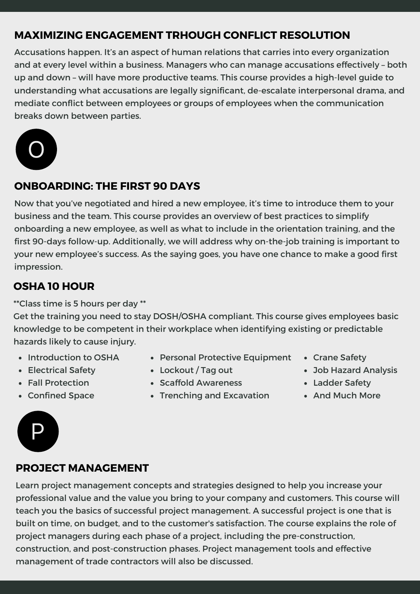# **MAXIMIZING ENGAGEMENT TRHOUGH CONFLICT RESOLUTION**

Accusations happen. It's an aspect of human relations that carries into every organization and at every level within a business. Managers who can manage accusations effectively – both up and down – will have more productive teams. This course provides a high-level guide to understanding what accusations are legally significant, de-escalate interpersonal drama, and mediate conflict between employees or groups of employees when the communication breaks down between parties.



#### **ONBOARDING: THE FIRST 90 DAYS**

Now that you've negotiated and hired a new employee, it's time to introduce them to your business and the team. This course provides an overview of best practices to simplify onboarding a new employee, as well as what to include in the orientation training, and the first 90-days follow-up. Additionally, we will address why on-the-job training is important to your new employee's success. As the saying goes, you have one chance to make a good first impression.

#### **OSHA 10 HOUR**

\*\*Class time is 5 hours per day \*\*

Get the training you need to stay DOSH/OSHA compliant. This course gives employees basic knowledge to be competent in their workplace when identifying existing or predictable hazards likely to cause injury.

- Introduction to OSHA
- Electrical Safety
- Fall Protection
- Confined Space
- Personal Protective Equipment
- Lockout / Tag out
- Scaffold Awareness
- Trenching and Excavation
- Crane Safety
- Job Hazard Analysis
- Ladder Safety
- And Much More

#### **PROJECT MANAGEMENT**

Learn project management concepts and strategies designed to help you increase your professional value and the value you bring to your company and customers. This course will teach you the basics of successful project management. A successful project is one that is built on time, on budget, and to the customer's satisfaction. The course explains the role of project managers during each phase of a project, including the pre-construction, construction, and post-construction phases. Project management tools and effective management of trade contractors will also be discussed.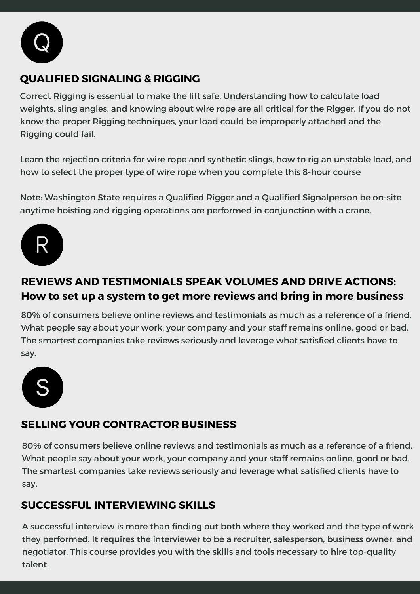

## **QUALIFIED SIGNALING & RIGGING**

Correct Rigging is essential to make the lift safe. Understanding how to calculate load weights, sling angles, and knowing about wire rope are all critical for the Rigger. If you do not know the proper Rigging techniques, your load could be improperly attached and the Rigging could fail.

Learn the rejection criteria for wire rope and synthetic slings, how to rig an unstable load, and how to select the proper type of wire rope when you complete this 8-hour course

Note: Washington State requires a Qualified Rigger and a Qualified Signalperson be on-site anytime hoisting and rigging operations are performed in conjunction with a crane.



# **REVIEWS AND TESTIMONIALS SPEAK VOLUMES AND DRIVE ACTIONS: How to set up a system to get more reviews and bring in more business**

80% of consumers believe online reviews and testimonials as much as a reference of a friend. What people say about your work, your company and your staff remains online, good or bad. The smartest companies take reviews seriously and leverage what satisfied clients have to say.



# **SELLING YOUR CONTRACTOR BUSINESS**

80% of consumers believe online reviews and testimonials as much as a reference of a friend. What people say about your work, your company and your staff remains online, good or bad. The smartest companies take reviews seriously and leverage what satisfied clients have to say.

## **SUCCESSFUL INTERVIEWING SKILLS**

A successful interview is more than finding out both where they worked and the type of work they performed. It requires the interviewer to be a recruiter, salesperson, business owner, and negotiator. This course provides you with the skills and tools necessary to hire top-quality talent.